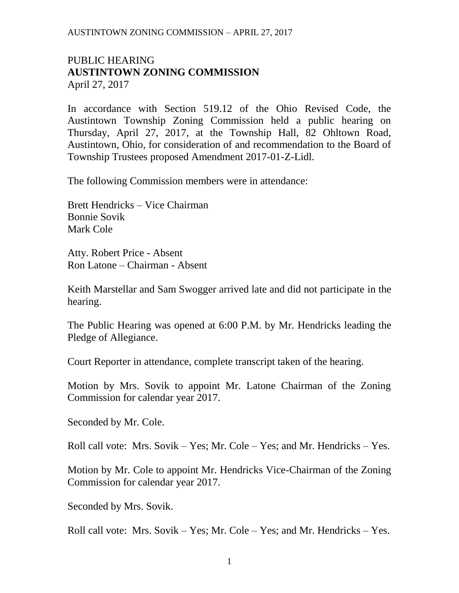### PUBLIC HEARING **AUSTINTOWN ZONING COMMISSION** April 27, 2017

In accordance with Section 519.12 of the Ohio Revised Code, the Austintown Township Zoning Commission held a public hearing on Thursday, April 27, 2017, at the Township Hall, 82 Ohltown Road, Austintown, Ohio, for consideration of and recommendation to the Board of Township Trustees proposed Amendment 2017-01-Z-Lidl.

The following Commission members were in attendance:

Brett Hendricks – Vice Chairman Bonnie Sovik Mark Cole

Atty. Robert Price - Absent Ron Latone – Chairman - Absent

Keith Marstellar and Sam Swogger arrived late and did not participate in the hearing.

The Public Hearing was opened at 6:00 P.M. by Mr. Hendricks leading the Pledge of Allegiance.

Court Reporter in attendance, complete transcript taken of the hearing.

Motion by Mrs. Sovik to appoint Mr. Latone Chairman of the Zoning Commission for calendar year 2017.

Seconded by Mr. Cole.

Roll call vote: Mrs. Sovik – Yes; Mr. Cole – Yes; and Mr. Hendricks – Yes.

Motion by Mr. Cole to appoint Mr. Hendricks Vice-Chairman of the Zoning Commission for calendar year 2017.

Seconded by Mrs. Sovik.

Roll call vote: Mrs. Sovik – Yes; Mr. Cole – Yes; and Mr. Hendricks – Yes.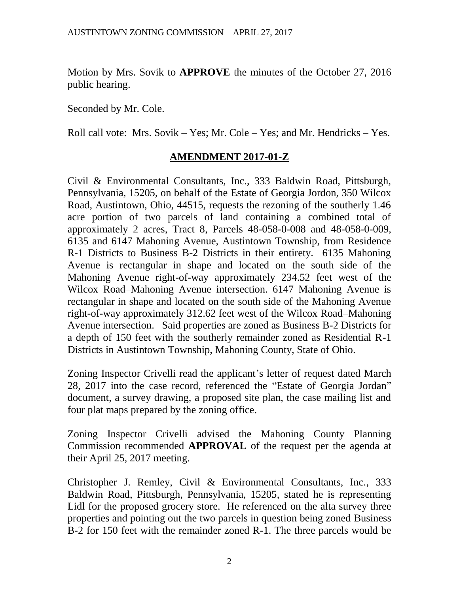Motion by Mrs. Sovik to **APPROVE** the minutes of the October 27, 2016 public hearing.

Seconded by Mr. Cole.

Roll call vote: Mrs. Sovik – Yes; Mr. Cole – Yes; and Mr. Hendricks – Yes.

## **AMENDMENT 2017-01-Z**

Civil & Environmental Consultants, Inc., 333 Baldwin Road, Pittsburgh, Pennsylvania, 15205, on behalf of the Estate of Georgia Jordon, 350 Wilcox Road, Austintown, Ohio, 44515, requests the rezoning of the southerly 1.46 acre portion of two parcels of land containing a combined total of approximately 2 acres, Tract 8, Parcels 48-058-0-008 and 48-058-0-009, 6135 and 6147 Mahoning Avenue, Austintown Township, from Residence R-1 Districts to Business B-2 Districts in their entirety. 6135 Mahoning Avenue is rectangular in shape and located on the south side of the Mahoning Avenue right-of-way approximately 234.52 feet west of the Wilcox Road–Mahoning Avenue intersection. 6147 Mahoning Avenue is rectangular in shape and located on the south side of the Mahoning Avenue right-of-way approximately 312.62 feet west of the Wilcox Road–Mahoning Avenue intersection. Said properties are zoned as Business B-2 Districts for a depth of 150 feet with the southerly remainder zoned as Residential R-1 Districts in Austintown Township, Mahoning County, State of Ohio.

Zoning Inspector Crivelli read the applicant's letter of request dated March 28, 2017 into the case record, referenced the "Estate of Georgia Jordan" document, a survey drawing, a proposed site plan, the case mailing list and four plat maps prepared by the zoning office.

Zoning Inspector Crivelli advised the Mahoning County Planning Commission recommended **APPROVAL** of the request per the agenda at their April 25, 2017 meeting.

Christopher J. Remley, Civil & Environmental Consultants, Inc., 333 Baldwin Road, Pittsburgh, Pennsylvania, 15205, stated he is representing Lidl for the proposed grocery store. He referenced on the alta survey three properties and pointing out the two parcels in question being zoned Business B-2 for 150 feet with the remainder zoned R-1. The three parcels would be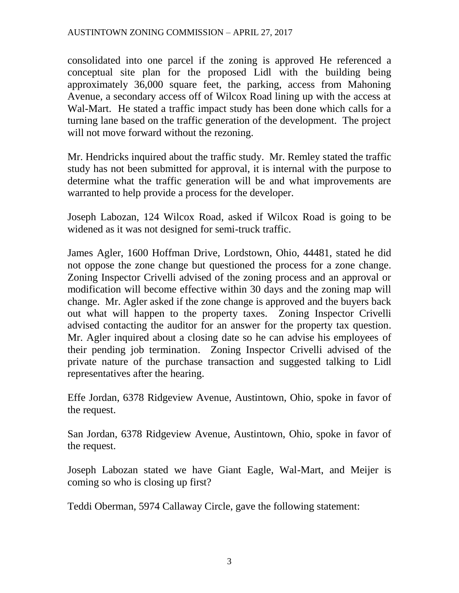consolidated into one parcel if the zoning is approved He referenced a conceptual site plan for the proposed Lidl with the building being approximately 36,000 square feet, the parking, access from Mahoning Avenue, a secondary access off of Wilcox Road lining up with the access at Wal-Mart. He stated a traffic impact study has been done which calls for a turning lane based on the traffic generation of the development. The project will not move forward without the rezoning.

Mr. Hendricks inquired about the traffic study. Mr. Remley stated the traffic study has not been submitted for approval, it is internal with the purpose to determine what the traffic generation will be and what improvements are warranted to help provide a process for the developer.

Joseph Labozan, 124 Wilcox Road, asked if Wilcox Road is going to be widened as it was not designed for semi-truck traffic.

James Agler, 1600 Hoffman Drive, Lordstown, Ohio, 44481, stated he did not oppose the zone change but questioned the process for a zone change. Zoning Inspector Crivelli advised of the zoning process and an approval or modification will become effective within 30 days and the zoning map will change. Mr. Agler asked if the zone change is approved and the buyers back out what will happen to the property taxes. Zoning Inspector Crivelli advised contacting the auditor for an answer for the property tax question. Mr. Agler inquired about a closing date so he can advise his employees of their pending job termination. Zoning Inspector Crivelli advised of the private nature of the purchase transaction and suggested talking to Lidl representatives after the hearing.

Effe Jordan, 6378 Ridgeview Avenue, Austintown, Ohio, spoke in favor of the request.

San Jordan, 6378 Ridgeview Avenue, Austintown, Ohio, spoke in favor of the request.

Joseph Labozan stated we have Giant Eagle, Wal-Mart, and Meijer is coming so who is closing up first?

Teddi Oberman, 5974 Callaway Circle, gave the following statement: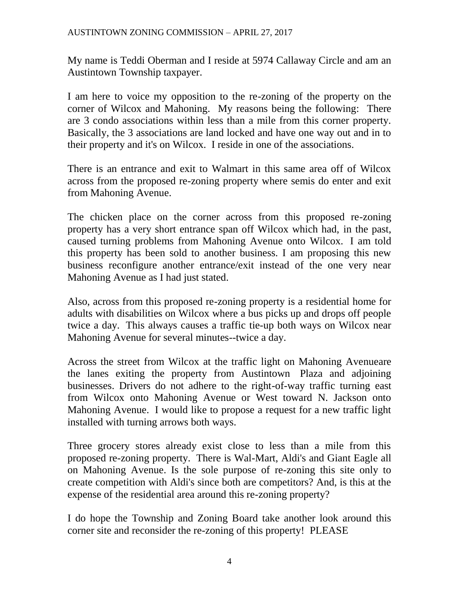My name is Teddi Oberman and I reside at 5974 Callaway Circle and am an Austintown Township taxpayer.

I am here to voice my opposition to the re-zoning of the property on the corner of Wilcox and Mahoning. My reasons being the following: There are 3 condo associations within less than a mile from this corner property. Basically, the 3 associations are land locked and have one way out and in to their property and it's on Wilcox. I reside in one of the associations.

There is an entrance and exit to Walmart in this same area off of Wilcox across from the proposed re-zoning property where semis do enter and exit from Mahoning Avenue.

The chicken place on the corner across from this proposed re-zoning property has a very short entrance span off Wilcox which had, in the past, caused turning problems from Mahoning Avenue onto Wilcox. I am told this property has been sold to another business. I am proposing this new business reconfigure another entrance/exit instead of the one very near Mahoning Avenue as I had just stated.

Also, across from this proposed re-zoning property is a residential home for adults with disabilities on Wilcox where a bus picks up and drops off people twice a day. This always causes a traffic tie-up both ways on Wilcox near Mahoning Avenue for several minutes--twice a day.

Across the street from Wilcox at the traffic light on Mahoning Avenueare the lanes exiting the property from Austintown Plaza and adjoining businesses. Drivers do not adhere to the right-of-way traffic turning east from Wilcox onto Mahoning Avenue or West toward N. Jackson onto Mahoning Avenue. I would like to propose a request for a new traffic light installed with turning arrows both ways.

Three grocery stores already exist close to less than a mile from this proposed re-zoning property. There is Wal-Mart, Aldi's and Giant Eagle all on Mahoning Avenue. Is the sole purpose of re-zoning this site only to create competition with Aldi's since both are competitors? And, is this at the expense of the residential area around this re-zoning property?

I do hope the Township and Zoning Board take another look around this corner site and reconsider the re-zoning of this property! PLEASE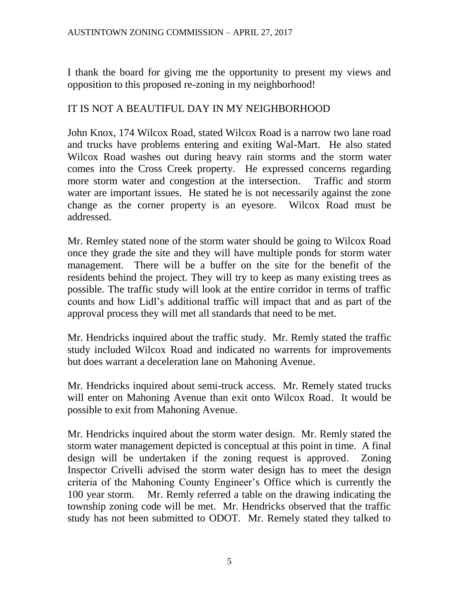I thank the board for giving me the opportunity to present my views and opposition to this proposed re-zoning in my neighborhood!

# IT IS NOT A BEAUTIFUL DAY IN MY NEIGHBORHOOD

John Knox, 174 Wilcox Road, stated Wilcox Road is a narrow two lane road and trucks have problems entering and exiting Wal-Mart. He also stated Wilcox Road washes out during heavy rain storms and the storm water comes into the Cross Creek property. He expressed concerns regarding more storm water and congestion at the intersection. Traffic and storm water are important issues. He stated he is not necessarily against the zone change as the corner property is an eyesore. Wilcox Road must be addressed.

Mr. Remley stated none of the storm water should be going to Wilcox Road once they grade the site and they will have multiple ponds for storm water management. There will be a buffer on the site for the benefit of the residents behind the project. They will try to keep as many existing trees as possible. The traffic study will look at the entire corridor in terms of traffic counts and how Lidl's additional traffic will impact that and as part of the approval process they will met all standards that need to be met.

Mr. Hendricks inquired about the traffic study. Mr. Remly stated the traffic study included Wilcox Road and indicated no warrents for improvements but does warrant a deceleration lane on Mahoning Avenue.

Mr. Hendricks inquired about semi-truck access. Mr. Remely stated trucks will enter on Mahoning Avenue than exit onto Wilcox Road. It would be possible to exit from Mahoning Avenue.

Mr. Hendricks inquired about the storm water design. Mr. Remly stated the storm water management depicted is conceptual at this point in time. A final design will be undertaken if the zoning request is approved. Zoning Inspector Crivelli advised the storm water design has to meet the design criteria of the Mahoning County Engineer's Office which is currently the 100 year storm. Mr. Remly referred a table on the drawing indicating the township zoning code will be met. Mr. Hendricks observed that the traffic study has not been submitted to ODOT. Mr. Remely stated they talked to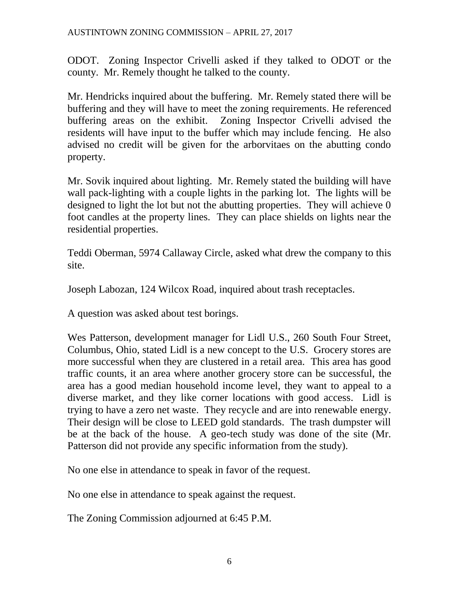#### AUSTINTOWN ZONING COMMISSION – APRIL 27, 2017

ODOT. Zoning Inspector Crivelli asked if they talked to ODOT or the county. Mr. Remely thought he talked to the county.

Mr. Hendricks inquired about the buffering. Mr. Remely stated there will be buffering and they will have to meet the zoning requirements. He referenced buffering areas on the exhibit. Zoning Inspector Crivelli advised the residents will have input to the buffer which may include fencing. He also advised no credit will be given for the arborvitaes on the abutting condo property.

Mr. Sovik inquired about lighting. Mr. Remely stated the building will have wall pack-lighting with a couple lights in the parking lot. The lights will be designed to light the lot but not the abutting properties. They will achieve 0 foot candles at the property lines. They can place shields on lights near the residential properties.

Teddi Oberman, 5974 Callaway Circle, asked what drew the company to this site.

Joseph Labozan, 124 Wilcox Road, inquired about trash receptacles.

A question was asked about test borings.

Wes Patterson, development manager for Lidl U.S., 260 South Four Street, Columbus, Ohio, stated Lidl is a new concept to the U.S. Grocery stores are more successful when they are clustered in a retail area. This area has good traffic counts, it an area where another grocery store can be successful, the area has a good median household income level, they want to appeal to a diverse market, and they like corner locations with good access. Lidl is trying to have a zero net waste. They recycle and are into renewable energy. Their design will be close to LEED gold standards. The trash dumpster will be at the back of the house. A geo-tech study was done of the site (Mr. Patterson did not provide any specific information from the study).

No one else in attendance to speak in favor of the request.

No one else in attendance to speak against the request.

The Zoning Commission adjourned at 6:45 P.M.